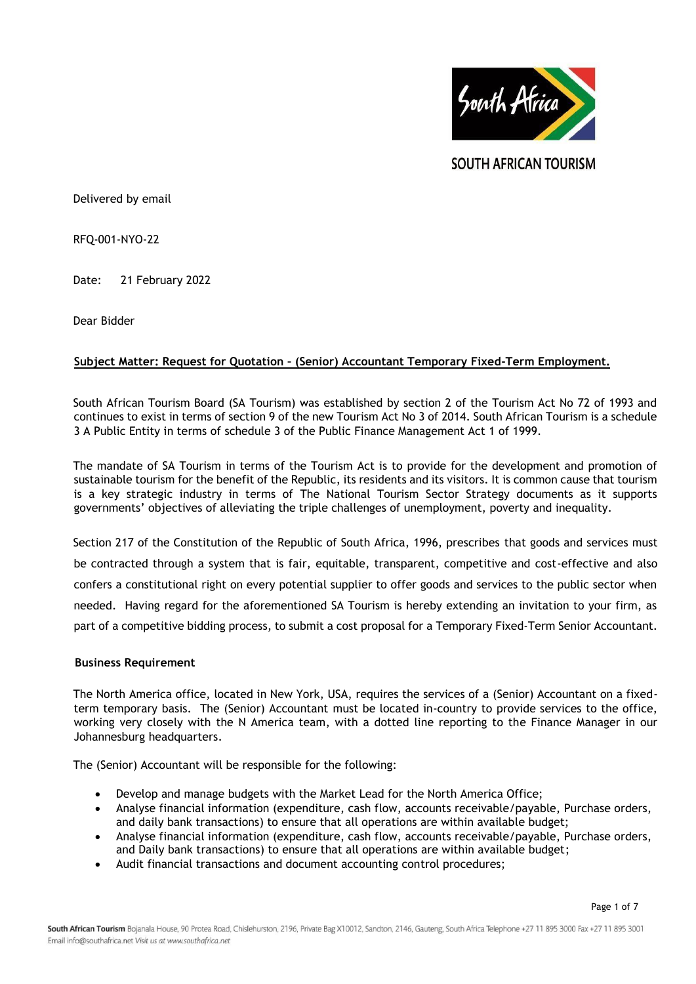

**SOUTH AFRICAN TOURISM** 

Delivered by email

RFQ-001-NYO-22

Date: 21 February 2022

Dear Bidder

# **Subject Matter: Request for Quotation – (Senior) Accountant Temporary Fixed-Term Employment.**

South African Tourism Board (SA Tourism) was established by section 2 of the Tourism Act No 72 of 1993 and continues to exist in terms of section 9 of the new Tourism Act No 3 of 2014. South African Tourism is a schedule 3 A Public Entity in terms of schedule 3 of the Public Finance Management Act 1 of 1999.

The mandate of SA Tourism in terms of the Tourism Act is to provide for the development and promotion of sustainable tourism for the benefit of the Republic, its residents and its visitors. It is common cause that tourism is a key strategic industry in terms of The National Tourism Sector Strategy documents as it supports governments' objectives of alleviating the triple challenges of unemployment, poverty and inequality.

Section 217 of the Constitution of the Republic of South Africa, 1996, prescribes that goods and services must be contracted through a system that is fair, equitable, transparent, competitive and cost-effective and also confers a constitutional right on every potential supplier to offer goods and services to the public sector when needed. Having regard for the aforementioned SA Tourism is hereby extending an invitation to your firm, as part of a competitive bidding process, to submit a cost proposal for a Temporary Fixed-Term Senior Accountant.

## **Business Requirement**

The North America office, located in New York, USA, requires the services of a (Senior) Accountant on a fixedterm temporary basis. The (Senior) Accountant must be located in-country to provide services to the office, working very closely with the N America team, with a dotted line reporting to the Finance Manager in our Johannesburg headquarters.

The (Senior) Accountant will be responsible for the following:

- Develop and manage budgets with the Market Lead for the North America Office;
- Analyse financial information (expenditure, cash flow, accounts receivable/payable, Purchase orders, and daily bank transactions) to ensure that all operations are within available budget;
- Analyse financial information (expenditure, cash flow, accounts receivable/payable, Purchase orders, and Daily bank transactions) to ensure that all operations are within available budget;
- Audit financial transactions and document accounting control procedures;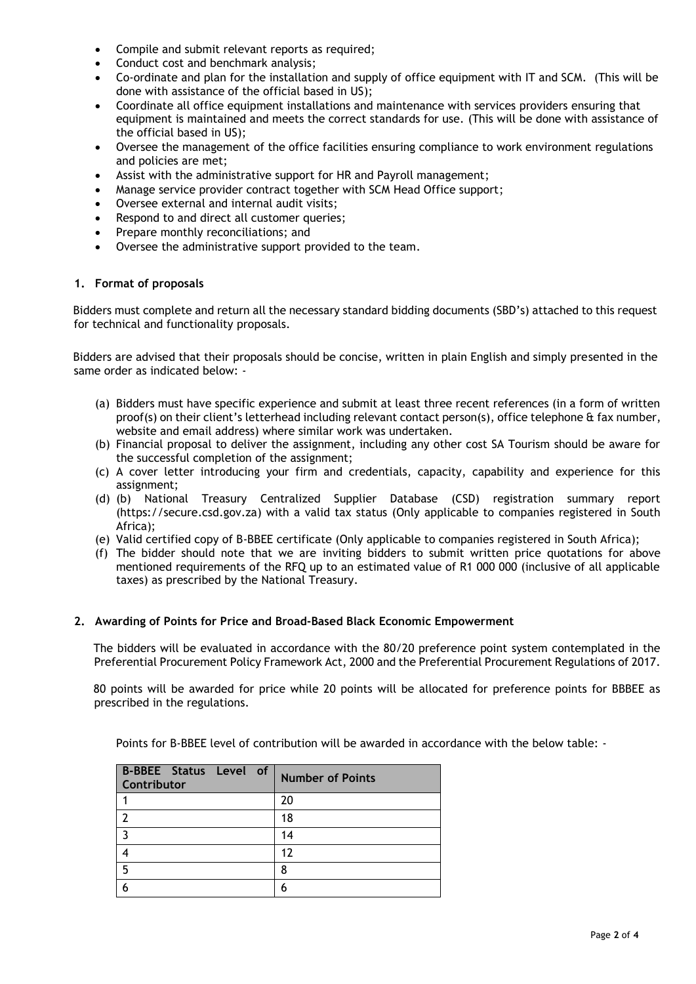- Compile and submit relevant reports as required;
- Conduct cost and benchmark analysis;
- Co-ordinate and plan for the installation and supply of office equipment with IT and SCM. (This will be done with assistance of the official based in US);
- Coordinate all office equipment installations and maintenance with services providers ensuring that equipment is maintained and meets the correct standards for use. (This will be done with assistance of the official based in US);
- Oversee the management of the office facilities ensuring compliance to work environment regulations and policies are met;
- Assist with the administrative support for HR and Payroll management;
- Manage service provider contract together with SCM Head Office support;
- Oversee external and internal audit visits;
- Respond to and direct all customer queries;
- Prepare monthly reconciliations; and
- Oversee the administrative support provided to the team.

## **1. Format of proposals**

Bidders must complete and return all the necessary standard bidding documents (SBD's) attached to this request for technical and functionality proposals.

Bidders are advised that their proposals should be concise, written in plain English and simply presented in the same order as indicated below: -

- (a) Bidders must have specific experience and submit at least three recent references (in a form of written proof(s) on their client's letterhead including relevant contact person(s), office telephone & fax number, website and email address) where similar work was undertaken.
- (b) Financial proposal to deliver the assignment, including any other cost SA Tourism should be aware for the successful completion of the assignment;
- (c) A cover letter introducing your firm and credentials, capacity, capability and experience for this assignment;
- (d) (b) National Treasury Centralized Supplier Database (CSD) registration summary report (https://secure.csd.gov.za) with a valid tax status (Only applicable to companies registered in South Africa);
- (e) Valid certified copy of B-BBEE certificate (Only applicable to companies registered in South Africa);
- (f) The bidder should note that we are inviting bidders to submit written price quotations for above mentioned requirements of the RFQ up to an estimated value of R1 000 000 (inclusive of all applicable taxes) as prescribed by the National Treasury.

## **2. Awarding of Points for Price and Broad-Based Black Economic Empowerment**

The bidders will be evaluated in accordance with the 80/20 preference point system contemplated in the Preferential Procurement Policy Framework Act, 2000 and the Preferential Procurement Regulations of 2017.

80 points will be awarded for price while 20 points will be allocated for preference points for BBBEE as prescribed in the regulations.

Points for B-BBEE level of contribution will be awarded in accordance with the below table: -

| B-BBEE Status Level of<br>Contributor | <b>Number of Points</b> |
|---------------------------------------|-------------------------|
|                                       | 20                      |
|                                       | 18                      |
| כ                                     | 14                      |
|                                       | 12                      |
| 5                                     | ጸ                       |
|                                       |                         |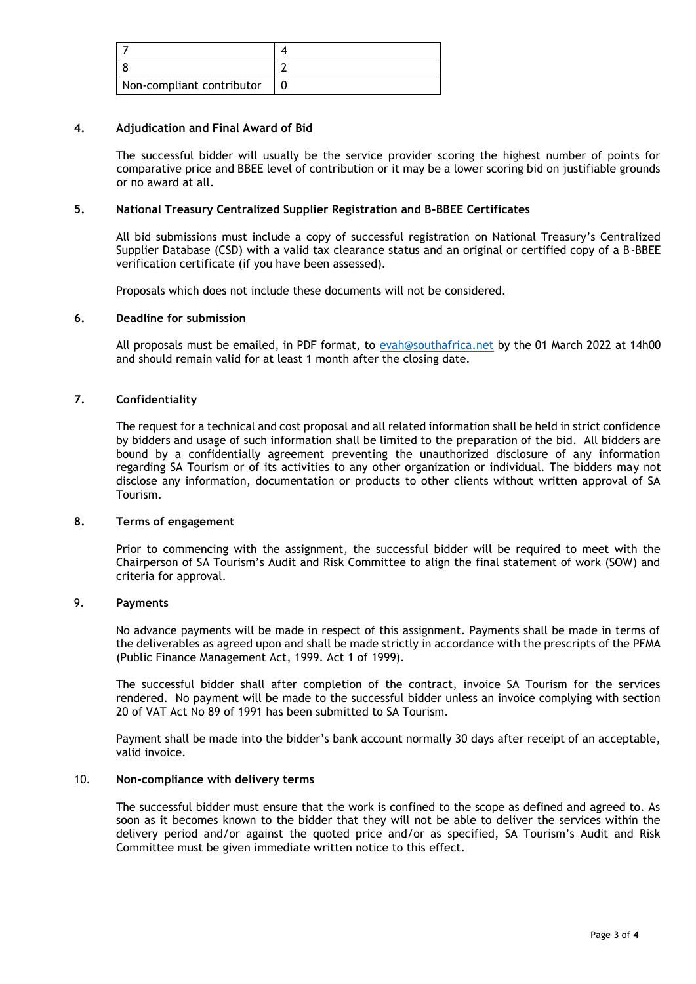| Non-compliant contributor |  |
|---------------------------|--|

### **4. Adjudication and Final Award of Bid**

The successful bidder will usually be the service provider scoring the highest number of points for comparative price and BBEE level of contribution or it may be a lower scoring bid on justifiable grounds or no award at all.

## **5. National Treasury Centralized Supplier Registration and B-BBEE Certificates**

All bid submissions must include a copy of successful registration on National Treasury's Centralized Supplier Database (CSD) with a valid tax clearance status and an original or certified copy of a B-BBEE verification certificate (if you have been assessed).

Proposals which does not include these documents will not be considered.

## **6. Deadline for submission**

All proposals must be emailed, in PDF format, to [evah@southafrica.net](evah@southafrica.net%20) by the 01 March 2022 at 14h00 and should remain valid for at least 1 month after the closing date.

## **7. Confidentiality**

The request for a technical and cost proposal and all related information shall be held in strict confidence by bidders and usage of such information shall be limited to the preparation of the bid. All bidders are bound by a confidentially agreement preventing the unauthorized disclosure of any information regarding SA Tourism or of its activities to any other organization or individual. The bidders may not disclose any information, documentation or products to other clients without written approval of SA Tourism.

#### **8. Terms of engagement**

Prior to commencing with the assignment, the successful bidder will be required to meet with the Chairperson of SA Tourism's Audit and Risk Committee to align the final statement of work (SOW) and criteria for approval.

## 9. **Payments**

No advance payments will be made in respect of this assignment. Payments shall be made in terms of the deliverables as agreed upon and shall be made strictly in accordance with the prescripts of the PFMA (Public Finance Management Act, 1999. Act 1 of 1999).

The successful bidder shall after completion of the contract, invoice SA Tourism for the services rendered. No payment will be made to the successful bidder unless an invoice complying with section 20 of VAT Act No 89 of 1991 has been submitted to SA Tourism.

Payment shall be made into the bidder's bank account normally 30 days after receipt of an acceptable, valid invoice.

#### 10. **Non-compliance with delivery terms**

The successful bidder must ensure that the work is confined to the scope as defined and agreed to. As soon as it becomes known to the bidder that they will not be able to deliver the services within the delivery period and/or against the quoted price and/or as specified, SA Tourism's Audit and Risk Committee must be given immediate written notice to this effect.